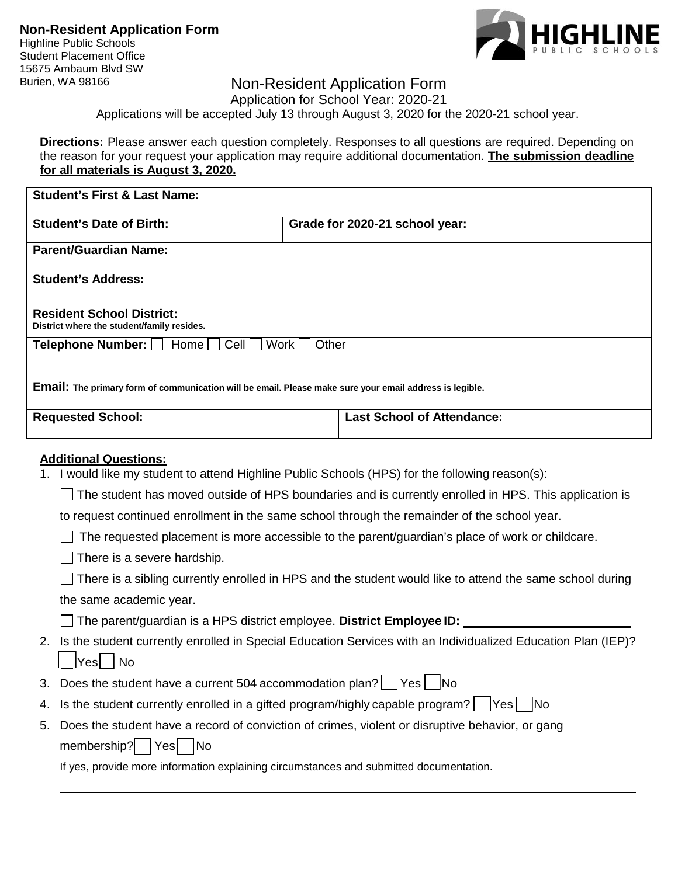Highline Public Schools Student Placement Office 15675 Ambaum Blvd SW



## Burien, WA 98166 **Non-Resident Application Form**

Application for School Year: 2020-21

Applications will be accepted July 13 through August 3, 2020 for the 2020-21 school year.

**Directions:** Please answer each question completely. Responses to all questions are required. Depending on the reason for your request your application may require additional documentation. **The submission deadline for all materials is August 3, 2020.**

| <b>Student's First &amp; Last Name:</b>                                                                                                                                                                                                                                                                                                                                                                                                                                                                                                                                                   |                                   |  |  |
|-------------------------------------------------------------------------------------------------------------------------------------------------------------------------------------------------------------------------------------------------------------------------------------------------------------------------------------------------------------------------------------------------------------------------------------------------------------------------------------------------------------------------------------------------------------------------------------------|-----------------------------------|--|--|
| <b>Student's Date of Birth:</b>                                                                                                                                                                                                                                                                                                                                                                                                                                                                                                                                                           | Grade for 2020-21 school year:    |  |  |
| <b>Parent/Guardian Name:</b>                                                                                                                                                                                                                                                                                                                                                                                                                                                                                                                                                              |                                   |  |  |
| <b>Student's Address:</b>                                                                                                                                                                                                                                                                                                                                                                                                                                                                                                                                                                 |                                   |  |  |
| <b>Resident School District:</b><br>District where the student/family resides.                                                                                                                                                                                                                                                                                                                                                                                                                                                                                                            |                                   |  |  |
| <b>Telephone Number:</b> □ Home [<br>Cell   Work  <br>Other                                                                                                                                                                                                                                                                                                                                                                                                                                                                                                                               |                                   |  |  |
| Email: The primary form of communication will be email. Please make sure your email address is legible.                                                                                                                                                                                                                                                                                                                                                                                                                                                                                   |                                   |  |  |
| <b>Requested School:</b>                                                                                                                                                                                                                                                                                                                                                                                                                                                                                                                                                                  | <b>Last School of Attendance:</b> |  |  |
| <b>Additional Questions:</b><br>I would like my student to attend Highline Public Schools (HPS) for the following reason(s):<br>1.<br>The student has moved outside of HPS boundaries and is currently enrolled in HPS. This application is<br>to request continued enrollment in the same school through the remainder of the school year.<br>The requested placement is more accessible to the parent/guardian's place of work or childcare.<br>There is a severe hardship.<br>There is a sibling currently enrolled in HPS and the student would like to attend the same school during |                                   |  |  |
| the same academic year.                                                                                                                                                                                                                                                                                                                                                                                                                                                                                                                                                                   |                                   |  |  |

The parent/guardian is a HPS district employee. **District Employee ID:** 

| 2. Is the student currently enrolled in Special Education Services with an Individualized Education Plan (IEP)? |
|-----------------------------------------------------------------------------------------------------------------|
| $\Box$ Yes $\Box$ No                                                                                            |

- 3. Does the student have a current 504 accommodation plan?  $\Box$  Yes  $\Box$  No
- 4. Is the student currently enrolled in a gifted program/highly capable program?  $\vert$   $\vert$ Yes  $\vert$   $\vert$ No
- 5. Does the student have a record of conviction of crimes, violent or disruptive behavior, or gang membership? | Yes | No

If yes, provide more information explaining circumstances and submitted documentation.